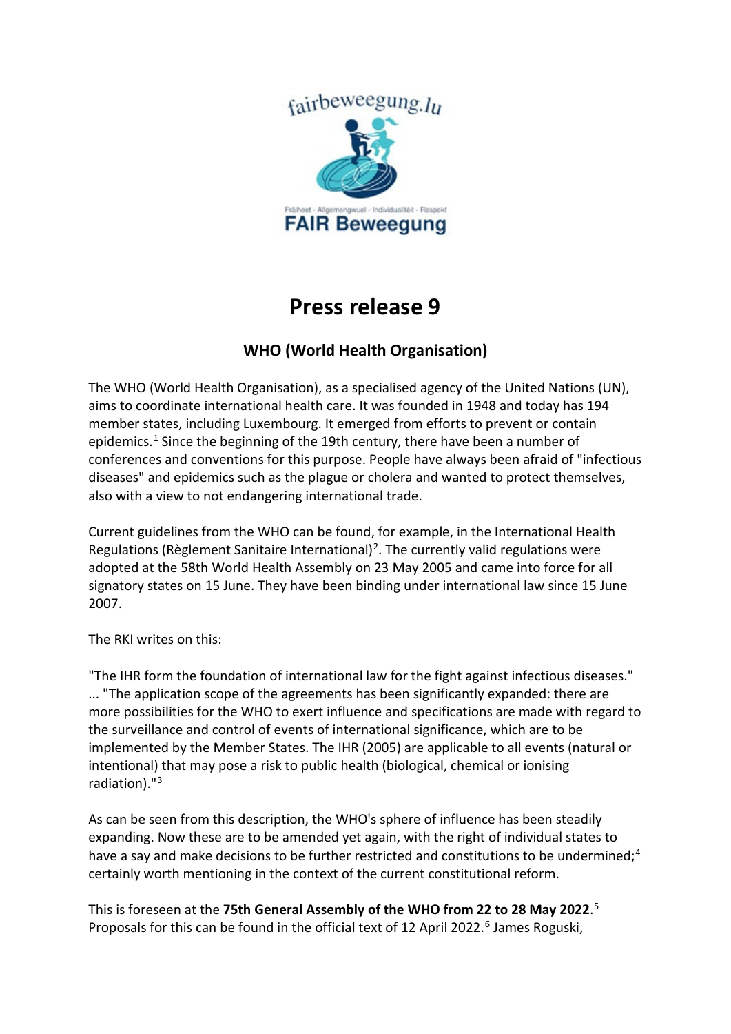

## **Press release 9**

## **WHO (World Health Organisation)**

The WHO (World Health Organisation), as a specialised agency of the United Nations (UN), aims to coordinate international health care. It was founded in 1948 and today has 194 member states, including Luxembourg. It emerged from efforts to prevent or contain epidemics.<sup>[1](#page-2-0)</sup> Since the beginning of the 19th century, there have been a number of conferences and conventions for this purpose. People have always been afraid of "infectious diseases" and epidemics such as the plague or cholera and wanted to protect themselves, also with a view to not endangering international trade.

Current guidelines from the WHO can be found, for example, in the International Health Regulations (Règlement Sanitaire International)<sup>[2](#page-2-1)</sup>. The currently valid regulations were adopted at the 58th World Health Assembly on 23 May 2005 and came into force for all signatory states on 15 June. They have been binding under international law since 15 June 2007.

The RKI writes on this:

"The IHR form the foundation of international law for the fight against infectious diseases." ... "The application scope of the agreements has been significantly expanded: there are more possibilities for the WHO to exert influence and specifications are made with regard to the surveillance and control of events of international significance, which are to be implemented by the Member States. The IHR (2005) are applicable to all events (natural or intentional) that may pose a risk to public health (biological, chemical or ionising radiation)."[3](#page-2-2)

As can be seen from this description, the WHO's sphere of influence has been steadily expanding. Now these are to be amended yet again, with the right of individual states to have a say and make decisions to be further restricted and constitutions to be undermined;<sup>[4](#page-2-3)</sup> certainly worth mentioning in the context of the current constitutional reform.

This is foreseen at the **75th General Assembly of the WHO from 22 to 28 May 2022**. [5](#page-2-4) Proposals for this can be found in the official text of 12 April 2022.<sup>[6](#page-2-5)</sup> James Roguski,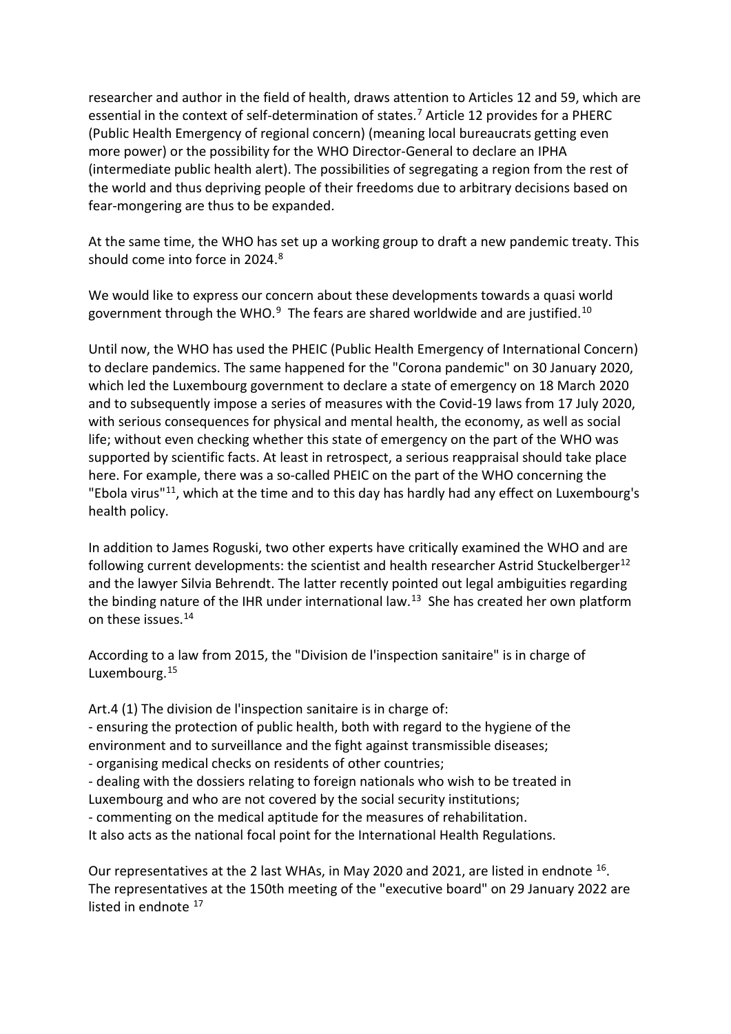researcher and author in the field of health, draws attention to Articles 12 and 59, which are essential in the context of self-determination of states.<sup>[7](#page-2-6)</sup> Article 12 provides for a PHERC (Public Health Emergency of regional concern) (meaning local bureaucrats getting even more power) or the possibility for the WHO Director-General to declare an IPHA (intermediate public health alert). The possibilities of segregating a region from the rest of the world and thus depriving people of their freedoms due to arbitrary decisions based on fear-mongering are thus to be expanded.

At the same time, the WHO has set up a working group to draft a new pandemic treaty. This should come into force in 2024.<sup>[8](#page-2-7)</sup>

We would like to express our concern about these developments towards a quasi world government through the WHO. $9$  The fears are shared worldwide and are justified.<sup>[10](#page-2-9)</sup>

Until now, the WHO has used the PHEIC (Public Health Emergency of International Concern) to declare pandemics. The same happened for the "Corona pandemic" on 30 January 2020, which led the Luxembourg government to declare a state of emergency on 18 March 2020 and to subsequently impose a series of measures with the Covid-19 laws from 17 July 2020, with serious consequences for physical and mental health, the economy, as well as social life; without even checking whether this state of emergency on the part of the WHO was supported by scientific facts. At least in retrospect, a serious reappraisal should take place here. For example, there was a so-called PHEIC on the part of the WHO concerning the "Ebola virus"[11](#page-3-0), which at the time and to this day has hardly had any effect on Luxembourg's health policy.

In addition to James Roguski, two other experts have critically examined the WHO and are following current developments: the scientist and health researcher Astrid Stuckelberger<sup>[12](#page-3-1)</sup> and the lawyer Silvia Behrendt. The latter recently pointed out legal ambiguities regarding the binding nature of the IHR under international law.<sup>[13](#page-3-2)</sup> She has created her own platform on these issues.<sup>[14](#page-3-3)</sup>

According to a law from 2015, the "Division de l'inspection sanitaire" is in charge of Luxembourg. [15](#page-3-4)

Art.4 (1) The division de l'inspection sanitaire is in charge of:

- ensuring the protection of public health, both with regard to the hygiene of the environment and to surveillance and the fight against transmissible diseases;

- organising medical checks on residents of other countries;

- dealing with the dossiers relating to foreign nationals who wish to be treated in Luxembourg and who are not covered by the social security institutions;

- commenting on the medical aptitude for the measures of rehabilitation.

It also acts as the national focal point for the International Health Regulations.

Our representatives at the 2 last WHAs, in May 2020 and 2021, are listed in endnote  $^{16}$ . The representatives at the 150th meeting of the "executive board" on 29 January 2022 are listed in endnote <sup>17</sup>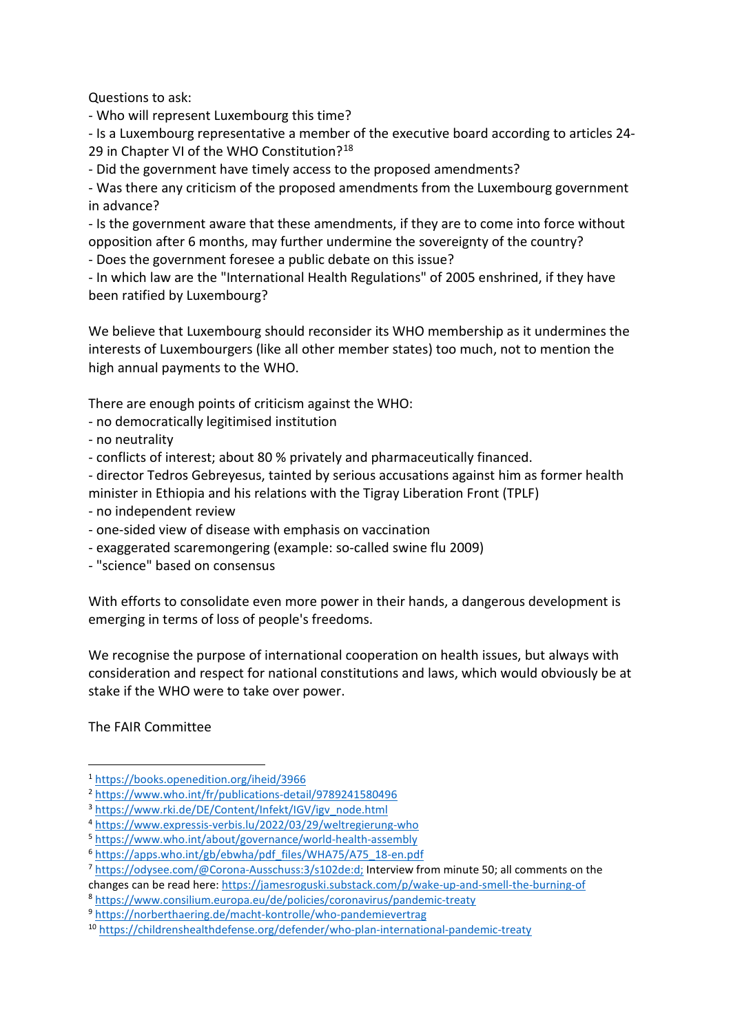Questions to ask:

- Who will represent Luxembourg this time?

- Is a Luxembourg representative a member of the executive board according to articles 24- 29 in Chapter VI of the WHO Constitution?<sup>[18](#page-3-7)</sup>

- Did the government have timely access to the proposed amendments?

- Was there any criticism of the proposed amendments from the Luxembourg government in advance?

- Is the government aware that these amendments, if they are to come into force without opposition after 6 months, may further undermine the sovereignty of the country?

- Does the government foresee a public debate on this issue?

- In which law are the "International Health Regulations" of 2005 enshrined, if they have been ratified by Luxembourg?

We believe that Luxembourg should reconsider its WHO membership as it undermines the interests of Luxembourgers (like all other member states) too much, not to mention the high annual payments to the WHO.

There are enough points of criticism against the WHO:

- no democratically legitimised institution

- no neutrality

- conflicts of interest; about 80 % privately and pharmaceutically financed.

- director Tedros Gebreyesus, tainted by serious accusations against him as former health

- minister in Ethiopia and his relations with the Tigray Liberation Front (TPLF)
- no independent review
- one-sided view of disease with emphasis on vaccination
- exaggerated scaremongering (example: so-called swine flu 2009)
- "science" based on consensus

With efforts to consolidate even more power in their hands, a dangerous development is emerging in terms of loss of people's freedoms.

We recognise the purpose of international cooperation on health issues, but always with consideration and respect for national constitutions and laws, which would obviously be at stake if the WHO were to take over power.

The FAIR Committee

<span id="page-2-0"></span><sup>1</sup> <https://books.openedition.org/iheid/3966>

<span id="page-2-1"></span><sup>2</sup> <https://www.who.int/fr/publications-detail/9789241580496>

<span id="page-2-2"></span><sup>3</sup> [https://www.rki.de/DE/Content/Infekt/IGV/igv\\_node.html](https://www.rki.de/DE/Content/Infekt/IGV/igv_node.html)

<span id="page-2-3"></span><sup>4</sup> <https://www.expressis-verbis.lu/2022/03/29/weltregierung-who>

<span id="page-2-4"></span><sup>5</sup> <https://www.who.int/about/governance/world-health-assembly>

<span id="page-2-5"></span><sup>6</sup> [https://apps.who.int/gb/ebwha/pdf\\_files/WHA75/A75\\_18-en.pdf](https://apps.who.int/gb/ebwha/pdf_files/WHA75/A75_18-en.pdf)

<span id="page-2-6"></span><sup>7</sup> [https://odysee.com/@Corona-Ausschuss:3/s102de:d;](https://odysee.com/@Corona-Ausschuss:3/s102de:d) Interview from minute 50; all comments on the changes can be read here:<https://jamesroguski.substack.com/p/wake-up-and-smell-the-burning-of>

<span id="page-2-7"></span><sup>8</sup> <https://www.consilium.europa.eu/de/policies/coronavirus/pandemic-treaty>

<span id="page-2-8"></span><sup>9</sup> [https://norberthaering.de/macht-kontrolle/who-pandemievertrag](https://norberthaering.de/macht-kontrolle/who-pandemievertrag/)

<span id="page-2-9"></span><sup>10</sup> <https://childrenshealthdefense.org/defender/who-plan-international-pandemic-treaty>